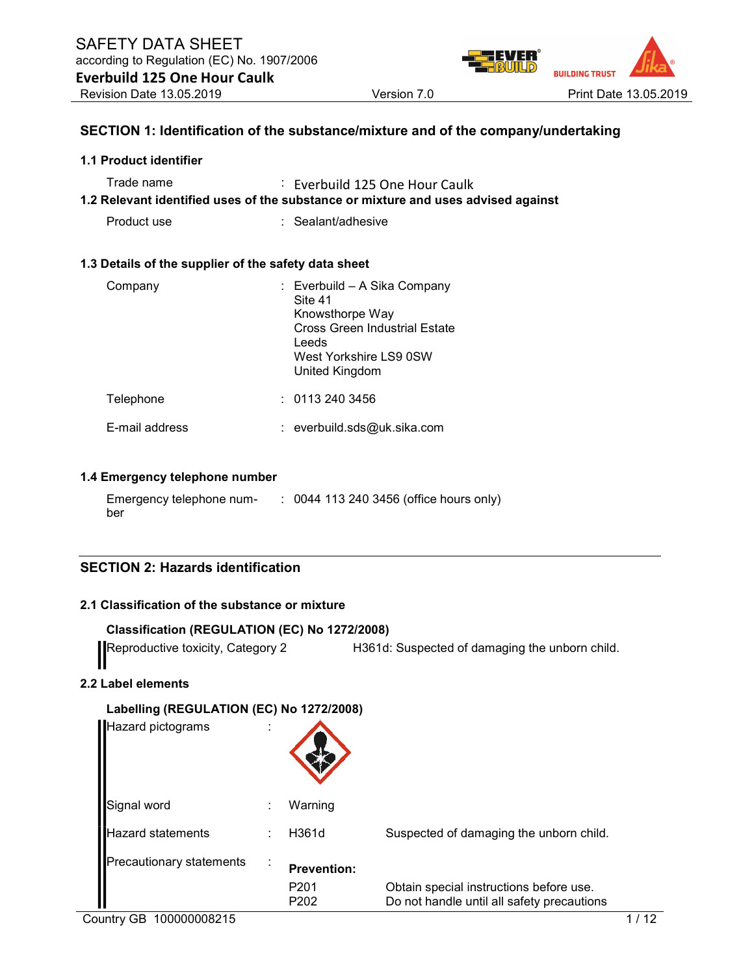

#### SECTION 1: Identification of the substance/mixture and of the company/undertaking

#### 1.1 Product identifier

| Trade name | Everbuild 125 One Hour Caulk                                                      |
|------------|-----------------------------------------------------------------------------------|
|            | 1.2 Relevant identified uses of the substance or mixture and uses advised against |

Product use : Sealant/adhesive

#### 1.3 Details of the supplier of the safety data sheet

| Company        | : Everbuild - A Sika Company<br>Site 41<br>Knowsthorpe Way<br><b>Cross Green Industrial Estate</b><br>Leeds<br>West Yorkshire LS9 0SW<br>United Kingdom |
|----------------|---------------------------------------------------------------------------------------------------------------------------------------------------------|
| Telephone      | : 01132403456                                                                                                                                           |
| E-mail address | $:$ everbuild.sds@uk.sika.com                                                                                                                           |

#### 1.4 Emergency telephone number

| Emergency telephone num- | : 0044 113 240 3456 (office hours only) |
|--------------------------|-----------------------------------------|
| ber                      |                                         |

# SECTION 2: Hazards identification

#### 2.1 Classification of the substance or mixture

```
Classification (REGULATION (EC) No 1272/2008)
```
Reproductive toxicity, Category 2 H361d: Suspected of damaging the unborn child.

#### 2.2 Label elements

| Labelling (REGULATION (EC) No 1272/2008) |  |
|------------------------------------------|--|
| --                                       |  |

| <b>Hazard pictograms</b> | ٠<br>٠ |                                      |                                                                                       |
|--------------------------|--------|--------------------------------------|---------------------------------------------------------------------------------------|
| Signal word              | ٠      | Warning                              |                                                                                       |
| <b>Hazard statements</b> |        | H361d                                | Suspected of damaging the unborn child.                                               |
| Precautionary statements |        | <b>Prevention:</b>                   |                                                                                       |
|                          |        | P <sub>201</sub><br>P <sub>202</sub> | Obtain special instructions before use.<br>Do not handle until all safety precautions |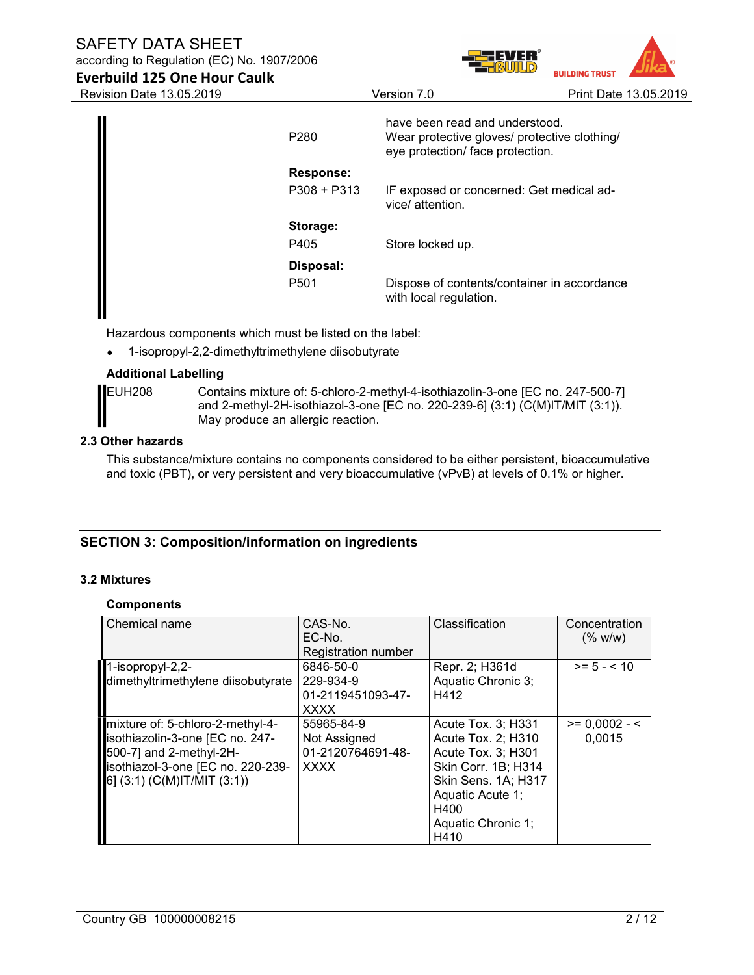# SAFETY DATA SHEET

according to Regulation (EC) No. 1907/2006



Everbuild 125 One Hour Caulk

| P <sub>280</sub> | have been read and understood.<br>Wear protective gloves/ protective clothing/<br>eye protection/ face protection. |
|------------------|--------------------------------------------------------------------------------------------------------------------|
| Response:        |                                                                                                                    |
| $P308 + P313$    | IF exposed or concerned: Get medical ad-<br>vice/ attention.                                                       |
| Storage:         |                                                                                                                    |
| P405             | Store locked up.                                                                                                   |
| Disposal:        |                                                                                                                    |
| P <sub>501</sub> | Dispose of contents/container in accordance<br>with local regulation.                                              |

Hazardous components which must be listed on the label:

1-isopropyl-2,2-dimethyltrimethylene diisobutyrate

## Additional Labelling



EUH208 Contains mixture of: 5-chloro-2-methyl-4-isothiazolin-3-one [EC no. 247-500-7] and 2-methyl-2H-isothiazol-3-one [EC no. 220-239-6] (3:1) (C(M)IT/MIT (3:1)). May produce an allergic reaction.

#### 2.3 Other hazards

This substance/mixture contains no components considered to be either persistent, bioaccumulative and toxic (PBT), or very persistent and very bioaccumulative (vPvB) at levels of 0.1% or higher.

# SECTION 3: Composition/information on ingredients

#### 3.2 Mixtures

#### **Components**

| Chemical name                      | CAS-No.<br>EC-No.   | Classification      | Concentration<br>(% w/w) |
|------------------------------------|---------------------|---------------------|--------------------------|
|                                    | Registration number |                     |                          |
| $\blacksquare$ 1-isopropyl-2,2-    | 6846-50-0           | Repr. 2; H361d      | $>= 5 - < 10$            |
| dimethyltrimethylene diisobutyrate | 229-934-9           | Aquatic Chronic 3;  |                          |
|                                    | 01-2119451093-47-   | H412                |                          |
|                                    | <b>XXXX</b>         |                     |                          |
| mixture of: 5-chloro-2-methyl-4-   | 55965-84-9          | Acute Tox. 3; H331  | $>= 0,0002 - 5$          |
| sothiazolin-3-one [EC no. 247-     | Not Assigned        | Acute Tox. 2; H310  | 0,0015                   |
| 500-7] and 2-methyl-2H-            | 01-2120764691-48-   | Acute Tox. 3; H301  |                          |
| sothiazol-3-one [EC no. 220-239-   | <b>XXXX</b>         | Skin Corr. 1B; H314 |                          |
| $[6]$ (3:1) (C(M)IT/MIT (3:1))     |                     | Skin Sens. 1A; H317 |                          |
|                                    |                     | Aquatic Acute 1;    |                          |
|                                    |                     | H400                |                          |
|                                    |                     | Aquatic Chronic 1;  |                          |
|                                    |                     | H410                |                          |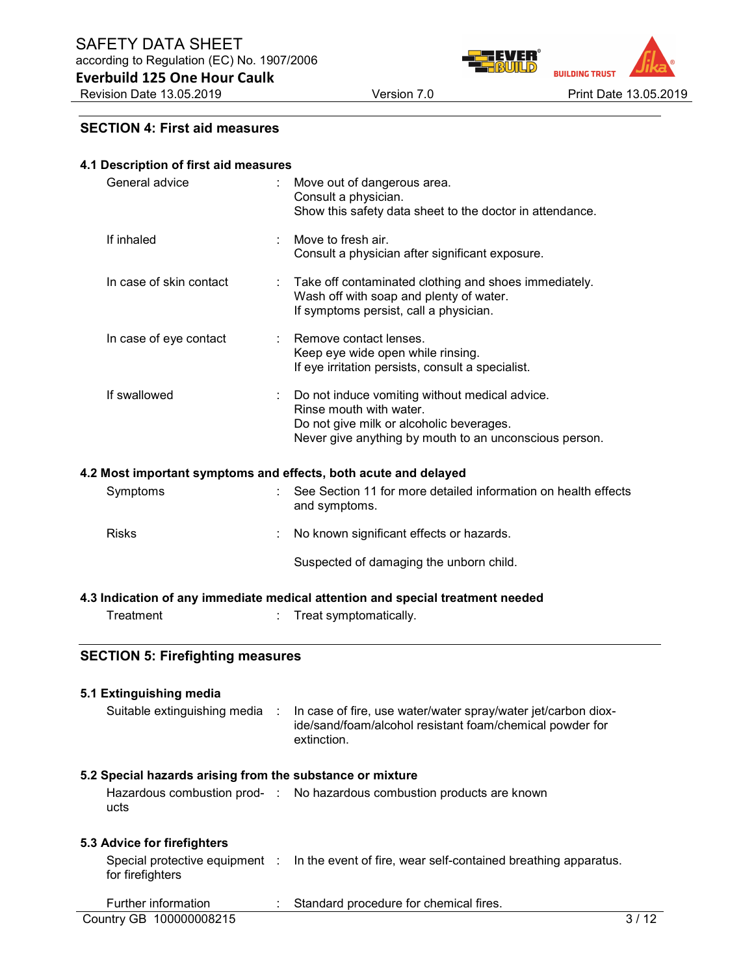Revision Date 13.05.2019 Version 7.0 Version 7.0 Print Date 13.05.2019

**BUILDING TRUST** 

#### SECTION 4: First aid measures

Everbuild 125 One Hour Caulk

#### 4.1 Description of first aid measures

| General advice          |    | Move out of dangerous area.<br>Consult a physician.<br>Show this safety data sheet to the doctor in attendance.                                                                 |
|-------------------------|----|---------------------------------------------------------------------------------------------------------------------------------------------------------------------------------|
| If inhaled              |    | Move to fresh air.<br>Consult a physician after significant exposure.                                                                                                           |
| In case of skin contact | ÷. | Take off contaminated clothing and shoes immediately.<br>Wash off with soap and plenty of water.<br>If symptoms persist, call a physician.                                      |
| In case of eye contact  |    | Remove contact lenses.<br>Keep eye wide open while rinsing.<br>If eye irritation persists, consult a specialist.                                                                |
| If swallowed            |    | Do not induce vomiting without medical advice.<br>Rinse mouth with water.<br>Do not give milk or alcoholic beverages.<br>Never give anything by mouth to an unconscious person. |

#### 4.2 Most important symptoms and effects, both acute and delayed

| Symptoms     | See Section 11 for more detailed information on health effects<br>and symptoms. |
|--------------|---------------------------------------------------------------------------------|
| <b>Risks</b> | : No known significant effects or hazards.                                      |
|              | Suspected of damaging the unborn child.                                         |

#### 4.3 Indication of any immediate medical attention and special treatment needed

| Treatment | Treat symptomatically. |
|-----------|------------------------|
|           |                        |

# SECTION 5: Firefighting measures

| 5.1 Extinguishing media                                   |                                                                                                                                          |        |
|-----------------------------------------------------------|------------------------------------------------------------------------------------------------------------------------------------------|--------|
| Suitable extinguishing media :                            | In case of fire, use water/water spray/water jet/carbon diox-<br>ide/sand/foam/alcohol resistant foam/chemical powder for<br>extinction. |        |
| 5.2 Special hazards arising from the substance or mixture |                                                                                                                                          |        |
| ucts                                                      | Hazardous combustion prod- : No hazardous combustion products are known                                                                  |        |
| 5.3 Advice for firefighters                               |                                                                                                                                          |        |
| for firefighters                                          | Special protective equipment : In the event of fire, wear self-contained breathing apparatus.                                            |        |
| Further information                                       | Standard procedure for chemical fires.                                                                                                   |        |
| Country GB 100000008215                                   |                                                                                                                                          | 3 / 12 |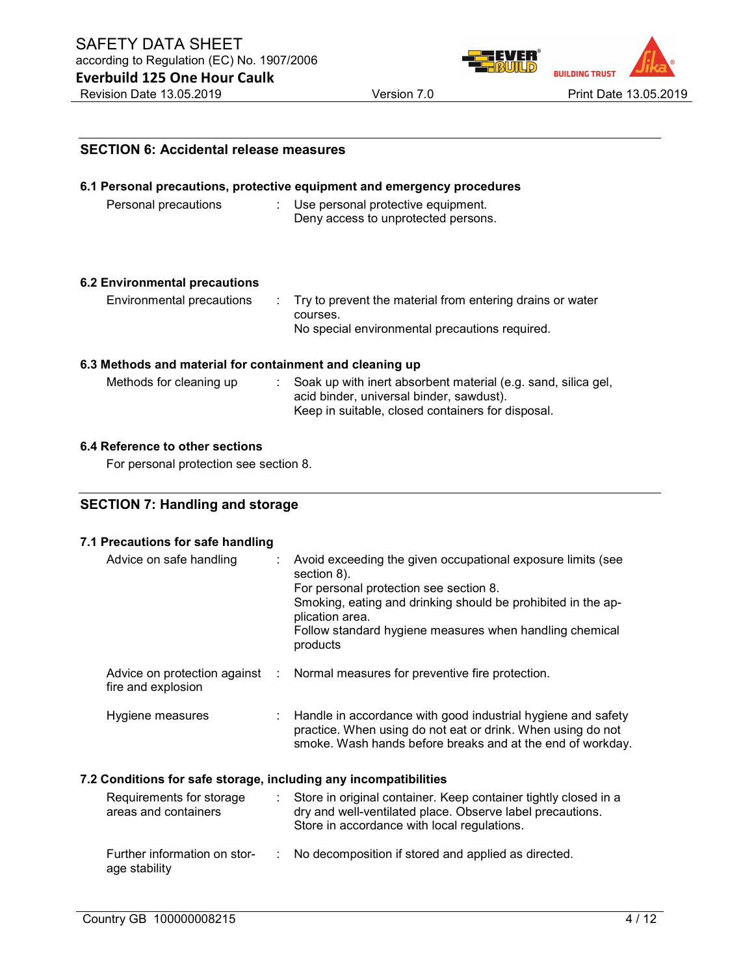

# **BUILDING TRUST**

| <b>SECTION 6: Accidental release measures</b>            |                                                                                                                                                                |  |  |  |
|----------------------------------------------------------|----------------------------------------------------------------------------------------------------------------------------------------------------------------|--|--|--|
|                                                          | 6.1 Personal precautions, protective equipment and emergency procedures                                                                                        |  |  |  |
| Personal precautions                                     | $\therefore$ Use personal protective equipment.<br>Deny access to unprotected persons.                                                                         |  |  |  |
| <b>6.2 Environmental precautions</b>                     |                                                                                                                                                                |  |  |  |
| Environmental precautions<br>÷.                          | Try to prevent the material from entering drains or water<br>courses.                                                                                          |  |  |  |
|                                                          | No special environmental precautions required.                                                                                                                 |  |  |  |
| 6.3 Methods and material for containment and cleaning up |                                                                                                                                                                |  |  |  |
| Methods for cleaning up                                  | Soak up with inert absorbent material (e.g. sand, silica gel,<br>acid binder, universal binder, sawdust).<br>Keep in suitable, closed containers for disposal. |  |  |  |

# 6.4 Reference to other sections

For personal protection see section 8.

# SECTION 7: Handling and storage

# 7.1 Precautions for safe handling

| Advice on safe handling                                          | Avoid exceeding the given occupational exposure limits (see<br>section 8).<br>For personal protection see section 8.<br>Smoking, eating and drinking should be prohibited in the ap-<br>plication area.<br>Follow standard hygiene measures when handling chemical<br>products |
|------------------------------------------------------------------|--------------------------------------------------------------------------------------------------------------------------------------------------------------------------------------------------------------------------------------------------------------------------------|
| Advice on protection against<br>÷<br>fire and explosion          | Normal measures for preventive fire protection.                                                                                                                                                                                                                                |
| Hygiene measures<br>÷                                            | Handle in accordance with good industrial hygiene and safety<br>practice. When using do not eat or drink. When using do not<br>smoke. Wash hands before breaks and at the end of workday.                                                                                      |
| 7.2 Conditions for safe storage, including any incompatibilities |                                                                                                                                                                                                                                                                                |
| Requirements for storage<br>t.<br>areas and containers           | Store in original container. Keep container tightly closed in a<br>dry and well-ventilated place. Observe label precautions.<br>Store in accordance with local regulations.                                                                                                    |
| Further information on stor-<br>age stability                    | No decomposition if stored and applied as directed.                                                                                                                                                                                                                            |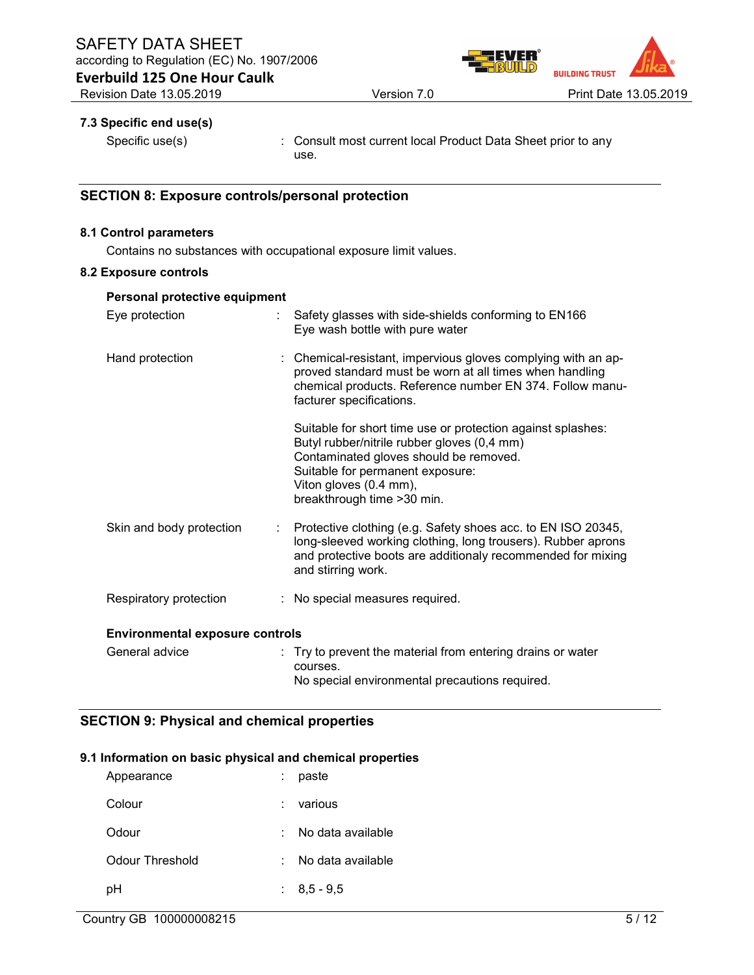

Everbuild 125 One Hour Caulk

#### 7.3 Specific end use(s)

Specific use(s) : Consult most current local Product Data Sheet prior to any use.

#### SECTION 8: Exposure controls/personal protection

#### 8.1 Control parameters

Contains no substances with occupational exposure limit values.

#### 8.2 Exposure controls

| Personal protective equipment          |                                                                                                                                                                                                                                                   |
|----------------------------------------|---------------------------------------------------------------------------------------------------------------------------------------------------------------------------------------------------------------------------------------------------|
| Eye protection<br>÷.                   | Safety glasses with side-shields conforming to EN166<br>Eye wash bottle with pure water                                                                                                                                                           |
| Hand protection                        | : Chemical-resistant, impervious gloves complying with an ap-<br>proved standard must be worn at all times when handling<br>chemical products. Reference number EN 374. Follow manu-<br>facturer specifications.                                  |
|                                        | Suitable for short time use or protection against splashes:<br>Butyl rubber/nitrile rubber gloves (0,4 mm)<br>Contaminated gloves should be removed.<br>Suitable for permanent exposure:<br>Viton gloves (0.4 mm),<br>breakthrough time > 30 min. |
| Skin and body protection               | Protective clothing (e.g. Safety shoes acc. to EN ISO 20345,<br>long-sleeved working clothing, long trousers). Rubber aprons<br>and protective boots are additionaly recommended for mixing<br>and stirring work.                                 |
| Respiratory protection                 | : No special measures required.                                                                                                                                                                                                                   |
| <b>Environmental exposure controls</b> |                                                                                                                                                                                                                                                   |
| General advice                         | : Try to prevent the material from entering drains or water<br>courses.<br>No special environmental precautions required.                                                                                                                         |

# SECTION 9: Physical and chemical properties

#### 9.1 Information on basic physical and chemical properties

| Appearance      | paste             |
|-----------------|-------------------|
| Colour          | various           |
| Odour           | No data available |
| Odour Threshold | No data available |
| рH              | $: 8,5 - 9,5$     |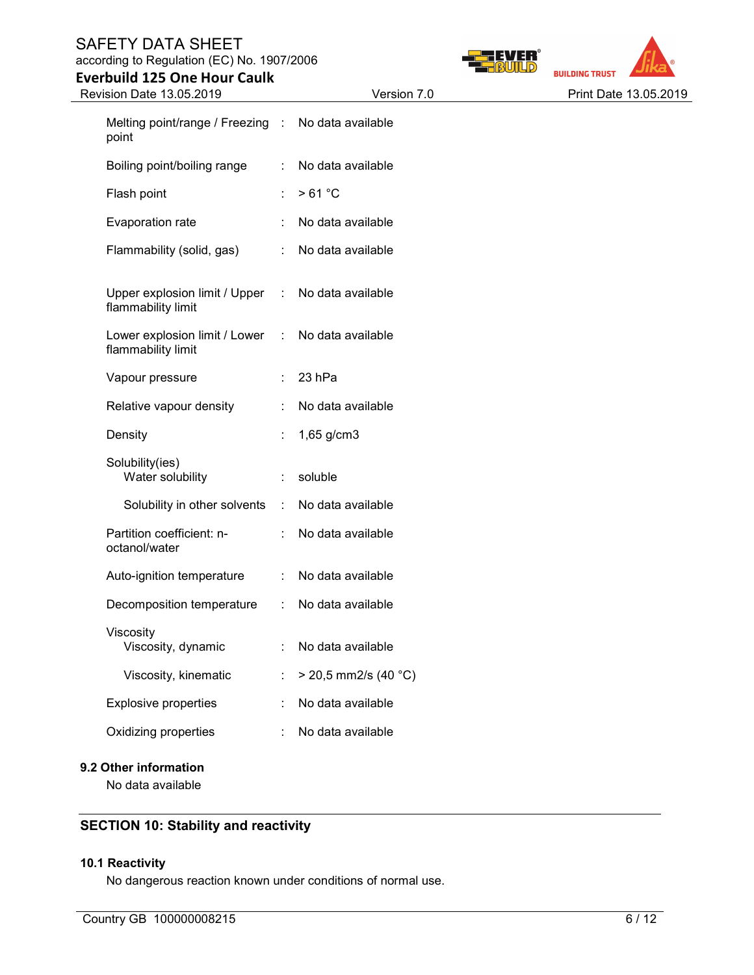# SAFETY DATA SHEET

according to Regulation (EC) No. 1907/2006

Everbuild 125 One Hour Caulk





| Revision Date 13.05.2019                            |                      | Version 7.0            | Print Date 13.05.2019 |
|-----------------------------------------------------|----------------------|------------------------|-----------------------|
| Melting point/range / Freezing :<br>point           |                      | No data available      |                       |
| Boiling point/boiling range                         | ÷                    | No data available      |                       |
| Flash point                                         |                      | >61 °C                 |                       |
| Evaporation rate                                    |                      | No data available      |                       |
| Flammability (solid, gas)                           |                      | No data available      |                       |
| Upper explosion limit / Upper<br>flammability limit | $\sim 10^{-1}$       | No data available      |                       |
| Lower explosion limit / Lower<br>flammability limit | $\sim 100$           | No data available      |                       |
| Vapour pressure                                     | ÷                    | 23 hPa                 |                       |
| Relative vapour density                             |                      | No data available      |                       |
| Density                                             |                      | 1,65 g/cm3             |                       |
| Solubility(ies)<br>Water solubility                 | ÷.                   | soluble                |                       |
| Solubility in other solvents                        | $\ddot{\phantom{a}}$ | No data available      |                       |
| Partition coefficient: n-<br>octanol/water          |                      | No data available      |                       |
| Auto-ignition temperature                           |                      | No data available      |                       |
| Decomposition temperature                           | $\ddot{\phantom{a}}$ | No data available      |                       |
| Viscosity<br>Viscosity, dynamic                     |                      | No data available      |                       |
| Viscosity, kinematic                                |                      | $>$ 20,5 mm2/s (40 °C) |                       |
| <b>Explosive properties</b>                         |                      | No data available      |                       |
| Oxidizing properties                                |                      | No data available      |                       |
|                                                     |                      |                        |                       |

# 9.2 Other information

No data available

# SECTION 10: Stability and reactivity

# 10.1 Reactivity

No dangerous reaction known under conditions of normal use.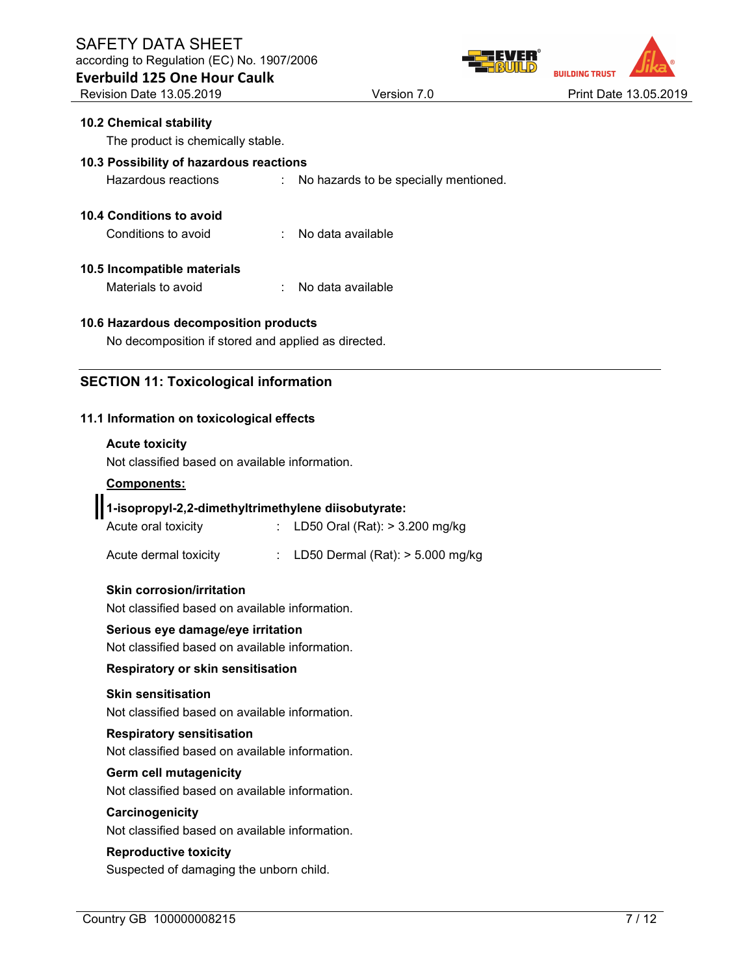according to Regulation (EC) No. 1907/2006



# 10.2 Chemical stability The product is chemically stable.

# 10.3 Possibility of hazardous reactions

Hazardous reactions : No hazards to be specially mentioned.

# 10.4 Conditions to avoid

Conditions to avoid : No data available

# 10.5 Incompatible materials

Materials to avoid : No data available

#### 10.6 Hazardous decomposition products

No decomposition if stored and applied as directed.

# SECTION 11: Toxicological information

#### 11.1 Information on toxicological effects

#### Acute toxicity

Not classified based on available information.

#### Components:

# 1-isopropyl-2,2-dimethyltrimethylene diisobutyrate:

| Acute oral toxicity |  | : LD50 Oral (Rat): $> 3.200$ mg/kg |
|---------------------|--|------------------------------------|
|                     |  |                                    |

| Acute dermal toxicity |  | LD50 Dermal (Rat): $>$ 5.000 mg/kg |  |  |
|-----------------------|--|------------------------------------|--|--|
|-----------------------|--|------------------------------------|--|--|

#### Skin corrosion/irritation

Not classified based on available information.

#### Serious eye damage/eye irritation

Not classified based on available information.

#### Respiratory or skin sensitisation

#### Skin sensitisation

Not classified based on available information.

#### Respiratory sensitisation

Not classified based on available information.

#### Germ cell mutagenicity

Not classified based on available information.

#### **Carcinogenicity**

Not classified based on available information.

#### Reproductive toxicity

Suspected of damaging the unborn child.

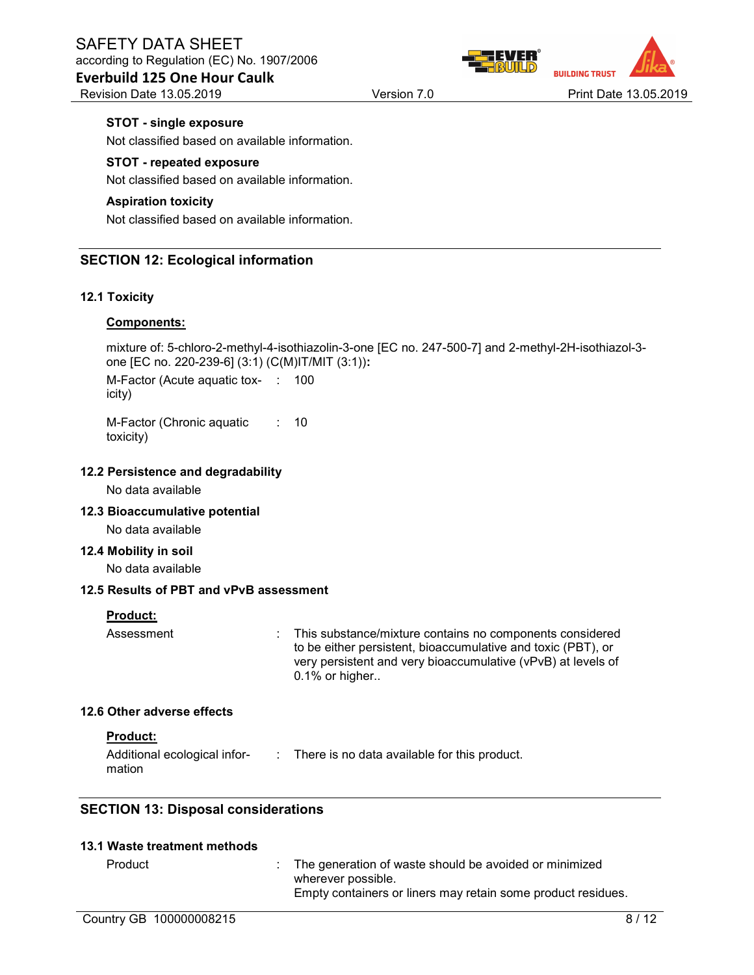#### Everbuild 125 One Hour Caulk Revision Date 13.05.2019 **Version 7.0** Print Date 13.05.2019 **Print Date 13.05.2019**

**BUILDING TRUST** 

#### STOT - single exposure

Not classified based on available information.

#### STOT - repeated exposure

Not classified based on available information.

#### Aspiration toxicity

Not classified based on available information.

#### SECTION 12: Ecological information

#### 12.1 Toxicity

#### Components:

mixture of: 5-chloro-2-methyl-4-isothiazolin-3-one [EC no. 247-500-7] and 2-methyl-2H-isothiazol-3 one [EC no. 220-239-6] (3:1) (C(M)IT/MIT (3:1)): M-Factor (Acute aquatic tox-: 100 icity)

M-Factor (Chronic aquatic toxicity) : 10

#### 12.2 Persistence and degradability

No data available

#### 12.3 Bioaccumulative potential

No data available

#### 12.4 Mobility in soil

No data available

#### 12.5 Results of PBT and vPvB assessment

#### Product:

Assessment **Example 2.1** This substance/mixture contains no components considered to be either persistent, bioaccumulative and toxic (PBT), or very persistent and very bioaccumulative (vPvB) at levels of 0.1% or higher..

#### 12.6 Other adverse effects

#### Product:

| Additional ecological infor- | There is no data available for this product. |
|------------------------------|----------------------------------------------|
| mation                       |                                              |

#### SECTION 13: Disposal considerations

#### 13.1 Waste treatment methods

 $\therefore$  The generation of waste should be avoided or minimized wherever possible. Empty containers or liners may retain some product residues.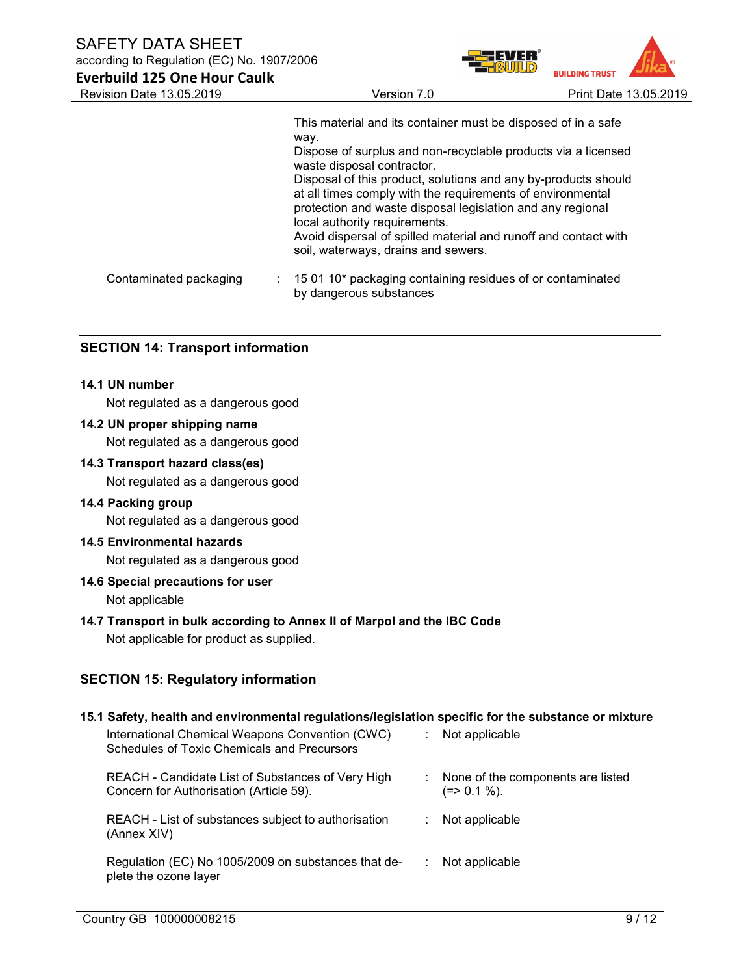SAFETY DATA SHEET

Everbuild 125 One Hour Caulk

according to Regulation (EC) No. 1907/2006



|                        | This material and its container must be disposed of in a safe<br>way.<br>Dispose of surplus and non-recyclable products via a licensed<br>waste disposal contractor.<br>Disposal of this product, solutions and any by-products should<br>at all times comply with the requirements of environmental<br>protection and waste disposal legislation and any regional<br>local authority requirements.<br>Avoid dispersal of spilled material and runoff and contact with<br>soil, waterways, drains and sewers. |
|------------------------|---------------------------------------------------------------------------------------------------------------------------------------------------------------------------------------------------------------------------------------------------------------------------------------------------------------------------------------------------------------------------------------------------------------------------------------------------------------------------------------------------------------|
| Contaminated packaging | $\therefore$ 15 01 10 <sup>*</sup> packaging containing residues of or contaminated<br>by dangerous substances                                                                                                                                                                                                                                                                                                                                                                                                |

#### SECTION 14: Transport information

#### 14.1 UN number

Not regulated as a dangerous good

#### 14.2 UN proper shipping name

Not regulated as a dangerous good

#### 14.3 Transport hazard class(es)

Not regulated as a dangerous good

#### 14.4 Packing group

Not regulated as a dangerous good

#### 14.5 Environmental hazards

Not regulated as a dangerous good

#### 14.6 Special precautions for user

Not applicable

#### 14.7 Transport in bulk according to Annex II of Marpol and the IBC Code

Not applicable for product as supplied.

#### SECTION 15: Regulatory information

#### 15.1 Safety, health and environmental regulations/legislation specific for the substance or mixture

| International Chemical Weapons Convention (CWC)<br><b>Schedules of Toxic Chemicals and Precursors</b> | Not applicable                                    |  |
|-------------------------------------------------------------------------------------------------------|---------------------------------------------------|--|
| REACH - Candidate List of Substances of Very High<br>Concern for Authorisation (Article 59).          | None of the components are listed<br>$(=>0.1\%).$ |  |
| REACH - List of substances subject to authorisation<br>(Annex XIV)                                    | Not applicable                                    |  |
| Regulation (EC) No 1005/2009 on substances that de-<br>plete the ozone layer                          | Not applicable                                    |  |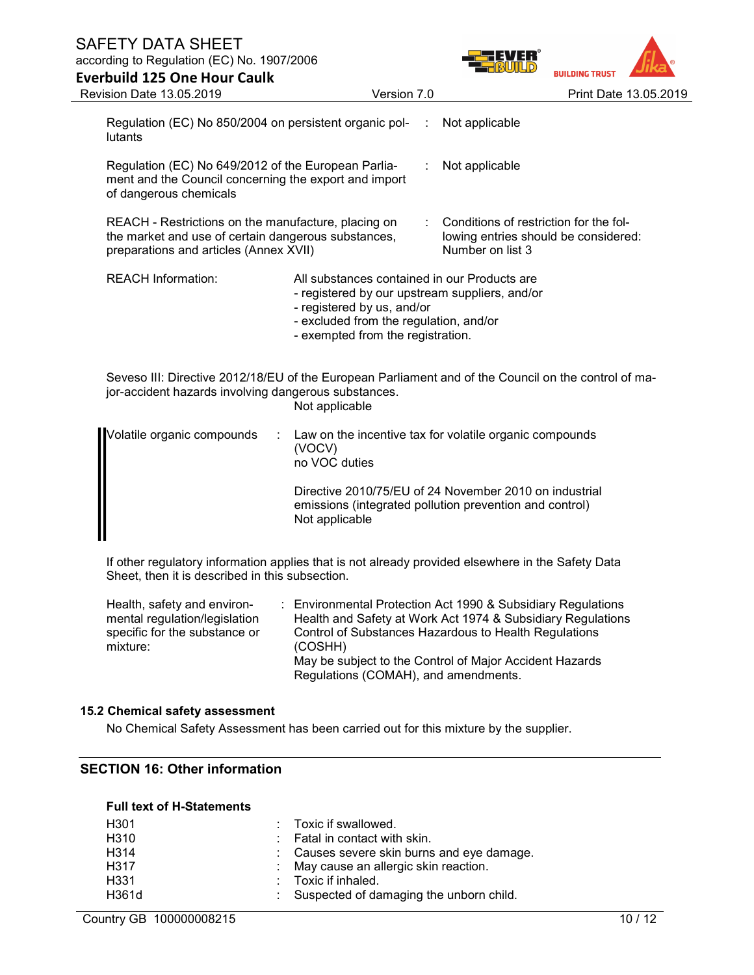# SAFETY DATA SHEET according to Regulation (EC) No. 1907/2006 Everbuild 125 One Hour Caulk



| Revision Date 13.05.2019                                                                                                                             | Version 7.0                                                                                                                                                                                                 |   | Print Date 13.05.2019                                                                                             |  |
|------------------------------------------------------------------------------------------------------------------------------------------------------|-------------------------------------------------------------------------------------------------------------------------------------------------------------------------------------------------------------|---|-------------------------------------------------------------------------------------------------------------------|--|
| Regulation (EC) No 850/2004 on persistent organic pol-<br>lutants                                                                                    |                                                                                                                                                                                                             | ÷ | Not applicable                                                                                                    |  |
| Regulation (EC) No 649/2012 of the European Parlia-<br>ment and the Council concerning the export and import<br>of dangerous chemicals               |                                                                                                                                                                                                             |   | Not applicable                                                                                                    |  |
| REACH - Restrictions on the manufacture, placing on<br>the market and use of certain dangerous substances,<br>preparations and articles (Annex XVII) |                                                                                                                                                                                                             |   | Conditions of restriction for the fol-<br>lowing entries should be considered:<br>Number on list 3                |  |
| <b>REACH Information:</b>                                                                                                                            | All substances contained in our Products are<br>- registered by our upstream suppliers, and/or<br>- registered by us, and/or<br>- excluded from the regulation, and/or<br>- exempted from the registration. |   |                                                                                                                   |  |
| jor-accident hazards involving dangerous substances.                                                                                                 | Not applicable                                                                                                                                                                                              |   | Seveso III: Directive 2012/18/EU of the European Parliament and of the Council on the control of ma-              |  |
| Volatile organic compounds                                                                                                                           | (VOCV)<br>no VOC duties                                                                                                                                                                                     |   | Law on the incentive tax for volatile organic compounds                                                           |  |
|                                                                                                                                                      |                                                                                                                                                                                                             |   | Directive 2010/75/EU of 24 November 2010 on industrial<br>emissions (integrated pollution prevention and control) |  |

If other regulatory information applies that is not already provided elsewhere in the Safety Data Sheet, then it is described in this subsection.

Not applicable

| Health, safety and environ-   | : Environmental Protection Act 1990 & Subsidiary Regulations |
|-------------------------------|--------------------------------------------------------------|
| mental regulation/legislation | Health and Safety at Work Act 1974 & Subsidiary Regulations  |
| specific for the substance or | Control of Substances Hazardous to Health Regulations        |
| mixture:                      | (COSHH)                                                      |
|                               | May be subject to the Control of Major Accident Hazards      |
|                               | Regulations (COMAH), and amendments.                         |

#### 15.2 Chemical safety assessment

No Chemical Safety Assessment has been carried out for this mixture by the supplier.

#### SECTION 16: Other information

#### Full text of H-Statements

| H <sub>301</sub> | : Toxic if swallowed.                      |
|------------------|--------------------------------------------|
| H <sub>310</sub> | $\therefore$ Fatal in contact with skin.   |
| H314             | : Causes severe skin burns and eye damage. |
| H317             | : May cause an allergic skin reaction.     |
| H <sub>331</sub> | $\therefore$ Toxic if inhaled.             |
| H361d            | : Suspected of damaging the unborn child.  |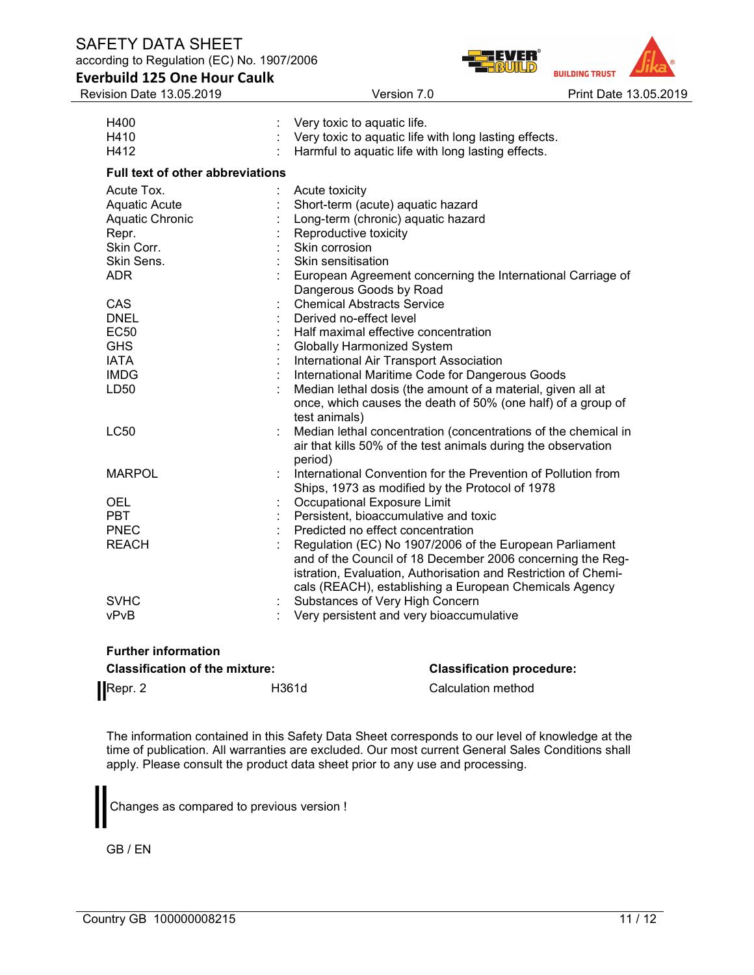Full text of other abbreviations

**BUILDING TRUST** Version 7.0 **Print Date 13.05.2019** 

| <b>Everbuild 125 One Hour Caulk</b> |  |  |
|-------------------------------------|--|--|
| <b>Revision Date 13 05 2019</b>     |  |  |

H400 : Very toxic to aquatic life. H410 : Very toxic to aquatic life with long lasting effects.<br>H412 : Harmful to aquatic life with long lasting effects. : Harmful to aquatic life with long lasting effects. Acute Tox. **: Acute toxicity** Aquatic Acute : Short-term (acute) aquatic hazard Aquatic Chronic : Long-term (chronic) aquatic hazard Repr. Reproductive toxicity Skin Corr. **: Skin corrosion** Skin Sens. **: Skin sensitisation** ADR : European Agreement concerning the International Carriage of Dangerous Goods by Road

|               | Dangerous Goods by Road                                          |
|---------------|------------------------------------------------------------------|
| CAS           | Chemical Abstracts Service                                       |
| <b>DNEL</b>   | Derived no-effect level                                          |
| <b>EC50</b>   | : Half maximal effective concentration                           |
| <b>GHS</b>    | : Globally Harmonized System                                     |
| <b>IATA</b>   | International Air Transport Association                          |
| <b>IMDG</b>   | International Maritime Code for Dangerous Goods                  |
| LD50          | Median lethal dosis (the amount of a material, given all at      |
|               | once, which causes the death of 50% (one half) of a group of     |
|               | test animals)                                                    |
| <b>LC50</b>   | : Median lethal concentration (concentrations of the chemical in |
|               | air that kills 50% of the test animals during the observation    |
|               | period)                                                          |
| <b>MARPOL</b> | : International Convention for the Prevention of Pollution from  |
|               | Ships, 1973 as modified by the Protocol of 1978                  |
| <b>OEL</b>    | Occupational Exposure Limit                                      |
| <b>PBT</b>    | : Persistent, bioaccumulative and toxic                          |
|               |                                                                  |

| <b>PBT</b>   | : Persistent, bioaccumulative and toxic                        |
|--------------|----------------------------------------------------------------|
| <b>PNEC</b>  | Predicted no effect concentration                              |
| <b>REACH</b> | Regulation (EC) No 1907/2006 of the European Parliament        |
|              | and of the Council of 18 December 2006 concerning the Reg-     |
|              | istration, Evaluation, Authorisation and Restriction of Chemi- |
|              | cals (REACH), establishing a European Chemicals Agency         |
| <b>SVHC</b>  | : Substances of Very High Concern                              |
| vPvB         | Very persistent and very bioaccumulative                       |

# Further information

| <b>Classification of the mixture:</b> |       | <b>Classification procedure:</b> |  |
|---------------------------------------|-------|----------------------------------|--|
| Repr. 2                               | H361d | Calculation method               |  |

The information contained in this Safety Data Sheet corresponds to our level of knowledge at the time of publication. All warranties are excluded. Our most current General Sales Conditions shall apply. Please consult the product data sheet prior to any use and processing.

Changes as compared to previous version !

GB / EN